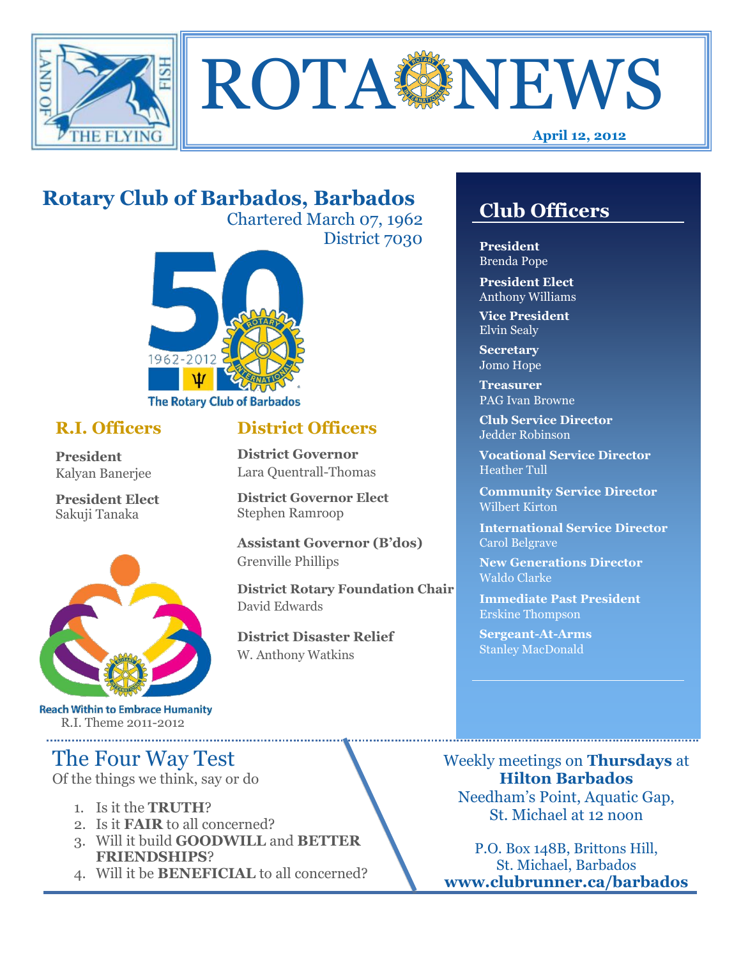



#### **April 12, 2012**

# **Rotary Club of Barbados, Barbados**

Chartered March 07, 1962 District 7030

**District Officers**

**District Governor Elect**

**District Disaster Relief**

W. Anthony Watkins

**Assistant Governor (B'dos)**

**District Rotary Foundation Chair**

**District Governor** Lara Quentrall-Thomas

Stephen Ramroop

Grenville Phillips

David Edwards



#### **R.I. Officers**

**President**  Kalyan Banerjee

**President Elect** Sakuji Tanaka



**Reach Within to Embrace Humanity** R.I. Theme 2011-2012

# The Four Way Test

Of the things we think, say or do

- 1. Is it the **TRUTH**?
- 2. Is it **FAIR** to all concerned?
- 3. Will it build **GOODWILL** and **BETTER FRIENDSHIPS**?
- 4. Will it be **BENEFICIAL** to all concerned?

## **Club Officers**

**Club Officers** 

**President** Brenda Pope

**President Elect** Anthony Williams

**Vice President** Elvin Sealy

**Secretary** Jomo Hope

**Treasurer** PAG Ivan Browne

**Club Service Director** Jedder Robinson

**Vocational Service Director** Heather Tull

**Community Service Director** Wilbert Kirton

**International Service Director** Carol Belgrave

**New Generations Director** Waldo Clarke

**Immediate Past President** Erskine Thompson

**Sergeant-At-Arms** Stanley MacDonald

Weekly meetings on **Thursdays** at **Hilton Barbados** Needham's Point, Aquatic Gap, St. Michael at 12 noon

P.O. Box 148B, Brittons Hill, St. Michael, Barbados **www.clubrunner.ca/barbados**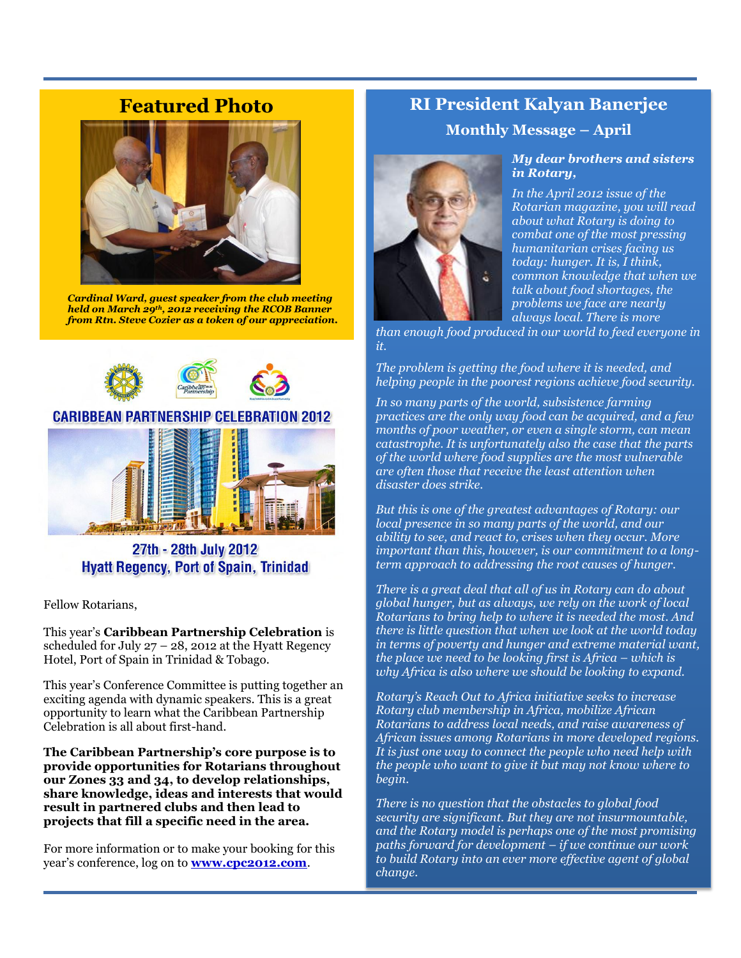## **Featured Photo**



*Cardinal Ward, guest speaker from the club meeting held on March 29th, 2012 receiving the RCOB Banner from Rtn. Steve Cozier as a token of our appreciation.*



27th - 28th July 2012 **Hyatt Regency, Port of Spain, Trinidad** 

Fellow Rotarians,

This year's **Caribbean Partnership Celebration** is scheduled for July  $27 - 28$ , 2012 at the Hyatt Regency Hotel, Port of Spain in Trinidad & Tobago.

This year's Conference Committee is putting together an exciting agenda with dynamic speakers. This is a great opportunity to learn what the Caribbean Partnership Celebration is all about first-hand.

**The Caribbean Partnership's core purpose is to provide opportunities for Rotarians throughout our Zones 33 and 34, to develop relationships, share knowledge, ideas and interests that would result in partnered clubs and then lead to projects that fill a specific need in the area.**

For more information or to make your booking for this year's conference, log on to **[www.cpc2012.com](http://www.cpc2012.com/)**.

## **RI President Kalyan Banerjee Monthly Message – April**



#### *My dear brothers and sisters in Rotary,*

*In the April 2012 issue of the Rotarian magazine, you will read about what Rotary is doing to combat one of the most pressing humanitarian crises facing us today: hunger. It is, I think, common knowledge that when we talk about food shortages, the problems we face are nearly always local. There is more* 

*than enough food produced in our world to feed everyone in it.* 

*The problem is getting the food where it is needed, and helping people in the poorest regions achieve food security.*

*In so many parts of the world, subsistence farming practices are the only way food can be acquired, and a few months of poor weather, or even a single storm, can mean catastrophe. It is unfortunately also the case that the parts of the world where food supplies are the most vulnerable are often those that receive the least attention when disaster does strike.*

*But this is one of the greatest advantages of Rotary: our local presence in so many parts of the world, and our ability to see, and react to, crises when they occur. More important than this, however, is our commitment to a longterm approach to addressing the root causes of hunger.*

*There is a great deal that all of us in Rotary can do about global hunger, but as always, we rely on the work of local Rotarians to bring help to where it is needed the most. And there is little question that when we look at the world today in terms of poverty and hunger and extreme material want, the place we need to be looking first is Africa – which is why Africa is also where we should be looking to expand.*

*Rotary's Reach Out to Africa initiative seeks to increase Rotary club membership in Africa, mobilize African Rotarians to address local needs, and raise awareness of African issues among Rotarians in more developed regions. It is just one way to connect the people who need help with the people who want to give it but may not know where to begin.*

*There is no question that the obstacles to global food security are significant. But they are not insurmountable, and the Rotary model is perhaps one of the most promising paths forward for development – if we continue our work to build Rotary into an ever more effective agent of global change.*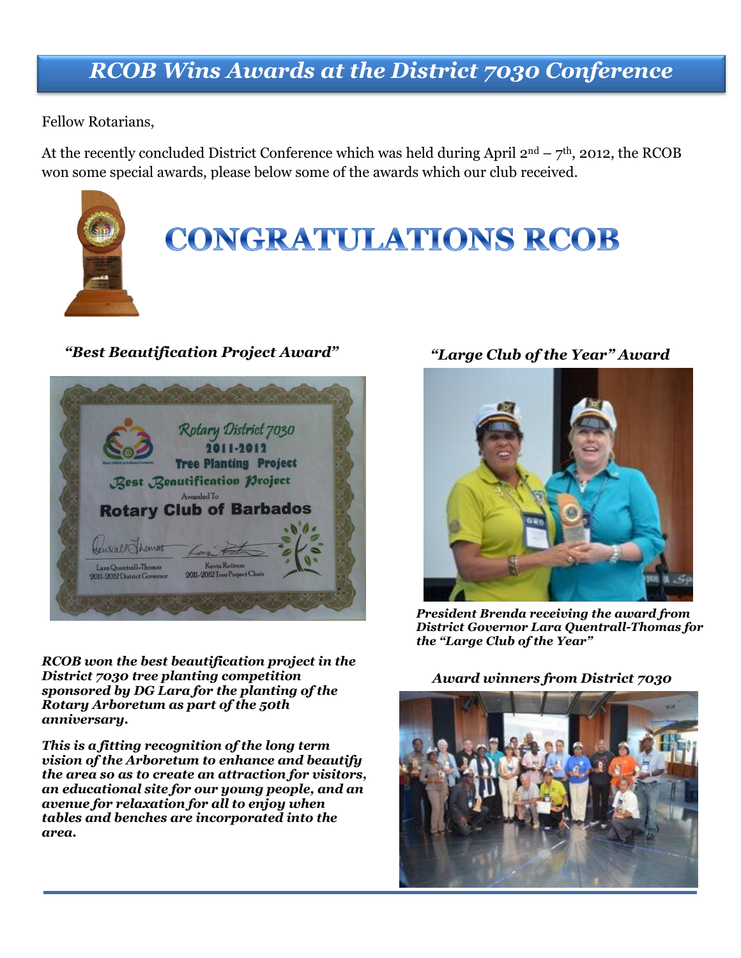# *RCOB Wins Awards at the District 7030 Conference*

Fellow Rotarians,

At the recently concluded District Conference which was held during April  $2<sup>nd</sup> - 7<sup>th</sup>$ , 2012, the RCOB won some special awards, please below some of the awards which our club received.



### *"Best Beautification Project Award" "Large Club of the Year" Award*



*RCOB won the best beautification project in the District 7030 tree planting competition sponsored by DG Lara for the planting of the Rotary Arboretum as part of the 50th anniversary.* 

*This is a fitting recognition of the long term vision of the Arboretum to enhance and beautify the area so as to create an attraction for visitors, an educational site for our young people, and an avenue for relaxation for all to enjoy when tables and benches are incorporated into the area.*



*President Brenda receiving the award from District Governor Lara Quentrall-Thomas for the "Large Club of the Year"*

#### *Award winners from District 7030*